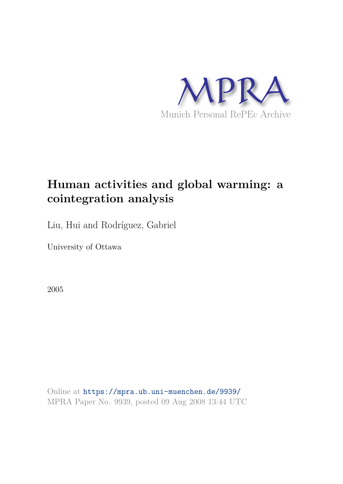

# **Human activities and global warming: a cointegration analysis**

Liu, Hui and Rodríguez, Gabriel

University of Ottawa

2005

Online at https://mpra.ub.uni-muenchen.de/9939/ MPRA Paper No. 9939, posted 09 Aug 2008 13:44 UTC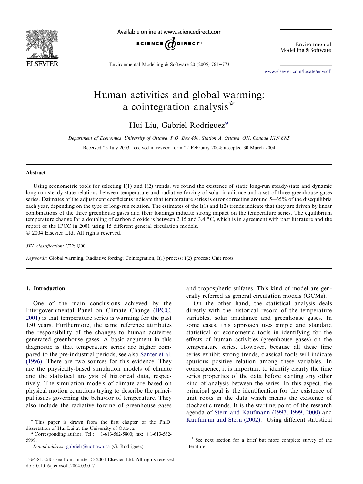

Available online at www.sciencedirect.com



Environmental Modelling & Software

Environmental Modelling & Software 20 (2005) 761-773

www.elsevier.com/locate/envsoft

## Human activities and global warming: a cointegration analysis $\dot{a}$

Hui Liu, Gabriel Rodríguez\*

*Department of Economics, University of Ottawa, P.O. Box 450, Station A, Ottawa, ON, Canada K1N 6N5*

Received 25 July 2003; received in revised form 22 February 2004; accepted 30 March 2004

#### Abstract

Using econometric tools for selecting I(1) and I(2) trends, we found the existence of static long-run steady-state and dynamic long-run steady-state relations between temperature and radiative forcing of solar irradiance and a set of three greenhouse gases series. Estimates of the adjustment coefficients indicate that temperature series is error correcting around 5-65% of the disequilibria each year, depending on the type of long-run relation. The estimates of the  $I(1)$  and  $I(2)$  trends indicate that they are driven by linear combinations of the three greenhouse gases and their loadings indicate strong impact on the temperature series. The equilibrium temperature change for a doubling of carbon dioxide is between 2.15 and 3.4 °C, which is in agreement with past literature and the report of the IPCC in 2001 using 15 different general circulation models. 2004 Elsevier Ltd. All rights reserved.

*JEL classification:* C22; Q00

*Keywords:* Global warming; Radiative forcing; Cointegration; I(1) process; I(2) process; Unit roots

#### 1. Introduction

One of the main conclusions achieved by the Intergovernmental Panel on Climate Change (IPCC, 2001) is that temperature series is warming for the past 150 years. Furthermore, the same reference attributes the responsibility of the changes to human activities generated greenhouse gases. A basic argument in this diagnostic is that temperature series are higher compared to the pre-industrial periods; see also Santer et al. (1996). There are two sources for this evidence. They are the physically-based simulation models of climate and the statistical analysis of historical data, respectively. The simulation models of climate are based on physical motion equations trying to describe the principal issues governing the behavior of temperature. They also include the radiative forcing of greenhouse gases

and tropospheric sulfates. This kind of model are generally referred as general circulation models (GCMs).

On the other hand, the statistical analysis deals directly with the historical record of the temperature variables, solar irradiance and greenhouse gases. In some cases, this approach uses simple and standard statistical or econometric tools in identifying for the effects of human activities (greenhouse gases) on the temperature series. However, because all these time series exhibit strong trends, classical tools will indicate spurious positive relation among these variables. In consequence, it is important to identify clearly the time series properties of the data before starting any other kind of analysis between the series. In this aspect, the principal goal is the identification for the existence of unit roots in the data which means the existence of stochastic trends. It is the starting point of the research agenda of Stern and Kaufmann (1997, 1999, 2000) and Kaufmann and Stern (2002). <sup>1</sup> Using different statistical

 $*$  This paper is drawn from the first chapter of the Ph.D. dissertation of Hui Lui at the University of Ottawa.

<sup>\*</sup> Corresponding author. Tel.:  $+1-613-562-5800$ ; fax:  $+1-613-562-$ 5999.

*E-mail address:* gabrielr@uottawa.ca (G. Rodríguez).

<sup>1364-8152/\$ -</sup> see front matter 2004 Elsevier Ltd. All rights reserved. doi:10.1016/j.envsoft.2004.03.017

<sup>&</sup>lt;sup>1</sup> See next section for a brief but more complete survey of the literature.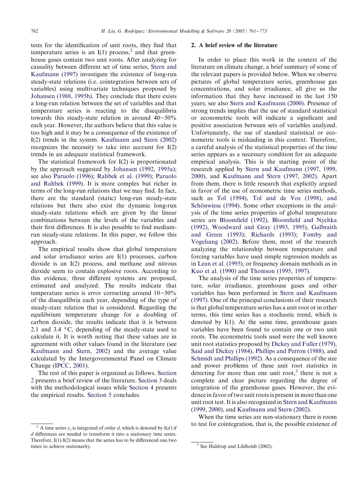tests for the identification of unit roots, they find that temperature series is an  $I(1)$  process,<sup>2</sup> and that greenhouse gases contain two unit roots. After analyzing for causality between different set of time series, Stern and Kaufmann (1997) investigate the existence of long-run steady-state relations (i.e. cointegration between sets of variables) using multivariate techniques proposed by Johansen (1988, 1995b). They conclude that there exists a long-run relation between the set of variables and that temperature series is reacting to the disequilibria towards this steady-state relation in around  $40-50\%$ each year. However, the authors believe that this value is too high and it may be a consequence of the existence of I(2) trends in the system. Kaufmann and Stern (2002) recognizes the necessity to take into account for  $I(2)$ trends in an adequate statistical framework.

The statistical framework for I(2) is proportionated by the approach suggested by Johansen (1992, 1995a); see also Paruolo (1996); Rahbek et al. (1999); Paruolo and Rahbek (1999). It is more complex but richer in terms of the long-run relations that we may find. In fact, there are the standard (static) long-run steady-state relations but there also exist the dynamic long-run steady-state relations which are given by the linear combinations between the levels of the variables and their first differences. It is also possible to find mediumrun steady-state relations. In this paper, we follow this approach.

The empirical results show that global temperature and solar irradiance series are I(1) processes, carbon dioxide is an I(2) process, and methane and nitrous dioxide seem to contain explosive roots. According to this evidence, three different systems are proposed, estimated and analyzed. The results indicate that temperature series is error correcting around  $10-50\%$ of the disequilibria each year, depending of the type of steady-state relation that is considered. Regarding the equilibrium temperature change for a doubling of carbon dioxide, the results indicate that it is between 2.1 and 3.4  $\degree$ C, depending of the steady-state used to calculate it. It is worth noting that these values are in agreement with other values found in the literature (see Kaufmann and Stern, 2002) and the average value calculated by the Intergovernmental Panel on Climate Change (IPCC, 2001).

The rest of this paper is organized as follows. Section 2 presents a brief review of the literature. Section 3 deals with the methodological issues while Section 4 presents the empirical results. Section 5 concludes.

#### 2. A brief review of the literature

In order to place this work in the context of the literature on climate change, a brief summary of some of the relevant papers is provided below. When we observe pictures of global temperature series, greenhouse gas concentrations, and solar irradiance, all give us the information that they have increased in the last 150 years; see also Stern and Kaufmann (2000). Presence of strong trends implies that the use of standard statistical or econometric tools will indicate a significant and positive association between sets of variables analyzed. Unfortunately, the use of standard statistical or econometric tools is misleading in this context. Therefore, a careful analysis of the statistical properties of the time series appears as a necessary condition for an adequate empirical analysis. This is the starting point of the research applied by Stern and Kaufmann (1997, 1999, 2000), and Kaufmann and Stern (1997, 2002). Apart from them, there is little research that explicitly argued in favor of the use of econometric time series methods, such as Tol (1994), Tol and de Vos (1998), and Schönwiese (1994). Some other exceptions in the analysis of the time series properties of global temperature series are Bloomfield (1992), Bloomfield and Nychka (1992), Woodward and Gray (1993, 1995), Galbraith and Green (1993); Richards (1993); Fomby and Vogelsang (2002). Before them, most of the research analyzing the relationship between temperature and forcing variables have used simple regression models as in Lean et al. (1995), or frequency domain methods as in Kuo et al. (1990) and Thomson (1995, 1997).

The analysis of the time series properties of temperature, solar irradiance, greenhouse gases and other variables has been performed in Stern and Kaufmann (1997). One of the principal conclusions of their research is that global temperature series has a unit root or in other terms, this time series has a stochastic trend, which is denoted by I(1). At the same time, greenhouse gases variables have been found to contain one or two unit roots. The econometric tools used were the well known unit root statistics proposed by Dickey and Fuller (1979), Said and Dickey (1984), Phillips and Perron (1988), and Schmidt and Phillips (1992). As a consequence of the size and power problems of these unit root statistics in detecting for more than one unit root,<sup>3</sup> there is not a complete and clear picture regarding the degree of integration of the greenhouse gases. However, the evidence in favor of two unit roots is present in more than one unit root test. It is also recognized in Stern and Kaufmann (1999, 2000), and Kaufmann and Stern (2002).

When the time series are non-stationary there is room to test for cointegration, that is, the possible existence of

<sup>&</sup>lt;sup>2</sup> A time series  $v_i$  is integrated of order *d*, which is denoted by I(*d*) if *d* differences are needed to transform it into a stationary time series. Therefore,  $I(1)/I(2)$  means that the series has to be differenced one/two times to achieve stationarity.

 $3$  See Haldrup and Lildholdt (2002).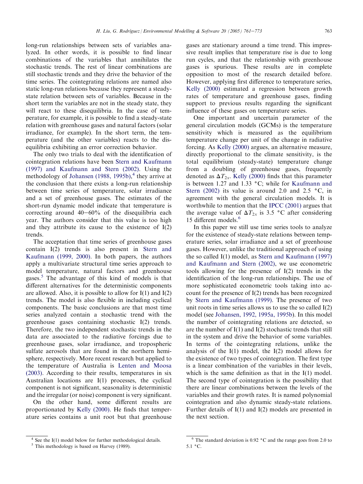long-run relationships between sets of variables analyzed. In other words, it is possible to find linear combinations of the variables that annihilates the stochastic trends. The rest of linear combinations are still stochastic trends and they drive the behavior of the time series. The cointegrating relations are named also static long-run relations because they represent a steadystate relation between sets of variables. Because in the short term the variables are not in the steady state, they will react to these disequilibria. In the case of temperature, for example, it is possible to find a steady-state relation with greenhouse gases and natural factors (solar irradiance, for example). In the short term, the temperature (and the other variables) reacts to the disequilibria exhibiting an error correction behavior.

The only two trials to deal with the identification of cointegration relations have been Stern and Kaufmann (1997) and Kaufmann and Stern (2002). Using the methodology of Johansen (1988, 1995b), 4 they arrive at the conclusion that there exists a long-run relationship between time series of temperature, solar irradiance and a set of greenhouse gases. The estimates of the short-run dynamic model indicate that temperature is correcting around  $40-60\%$  of the disequilibria each year. The authors consider that this value is too high and they attribute its cause to the existence of I(2) trends.

The acceptation that time series of greenhouse gases contain I(2) trends is also present in Stern and Kaufmann (1999, 2000). In both papers, the authors apply a multivariate structural time series approach to model temperature, natural factors and greenhouse gases.<sup>5</sup> The advantage of this kind of models is that different alternatives for the deterministic components are allowed. Also, it is possible to allow for I(1) and I(2) trends. The model is also flexible in including cyclical components. The basic conclusions are that most time series analyzed contain a stochastic trend with the greenhouse gases containing stochastic I(2) trends. Therefore, the two independent stochastic trends in the data are associated to the radiative forcings due to greenhouse gases, solar irradiance, and tropospheric sulfate aerosols that are found in the northern hemisphere, respectively. More recent research but applied to the temperature of Australia is Lenten and Moosa (2003). According to their results, temperatures in six Australian locations are I(1) processes, the cyclical component is not significant, seasonality is deterministic and the irregular (or noise) component is very significant.

On the other hand, some different results are proportionated by Kelly (2000). He finds that temperature series contains a unit root but that greenhouse gases are stationary around a time trend. This impressive result implies that temperature rise is due to long run cycles, and that the relationship with greenhouse gases is spurious. These results are in complete opposition to most of the research detailed before. However, applying first difference to temperature series, Kelly (2000) estimated a regression between growth rates of temperature and greenhouse gases, finding support to previous results regarding the significant influence of these gases on temperature series.

One important and uncertain parameter of the general circulation models (GCMs) is the temperature sensitivity which is measured as the equilibrium temperature change per unit of the change in radiative forcing. As Kelly (2000) argues, an alternative measure, directly proportional to the climate sensitivity, is the total equilibrium (steady-state) temperature change from a doubling of greenhouse gases, frequently denoted as  $\Delta T_{2x}$ . Kelly (2000) finds that this parameter is between 1.27 and 1.33  $\degree$ C; while for Kaufmann and Stern (2002) its value is around 2.0 and 2.5  $\degree$ C, in agreement with the general circulation models. It is worthwhile to mention that the IPCC (2001) argues that the average value of  $\Delta T_{2x}$  is 3.5 °C after considering 15 different models.<sup>6</sup>

In this paper we still use time series tools to analyze for the existence of steady-state relations between temperature series, solar irradiance and a set of greenhouse gases. However, unlike the traditional approach of using the so called I(1) model, as Stern and Kaufmann (1997) and Kaufmann and Stern (2002), we use econometric tools allowing for the presence of I(2) trends in the identification of the long-run relationships. The use of more sophisticated econometric tools taking into account for the presence of I(2) trends has been recognized by Stern and Kaufmann (1999). The presence of two unit roots in time series allows us to use the so called I(2) model (see Johansen, 1992, 1995a, 1995b). In this model the number of cointegrating relations are detected, so are the number of  $I(1)$  and  $I(2)$  stochastic trends that still in the system and drive the behavior of some variables. In terms of the cointegrating relations, unlike the analysis of the  $I(1)$  model, the  $I(2)$  model allows for the existence of two types of cointegration. The first type is a linear combination of the variables in their levels, which is the same definition as that in the I(1) model. The second type of cointegration is the possibility that there are linear combinations between the levels of the variables and their growth rates. It is named polynomial cointegration and also dynamic steady-state relations. Further details of I(1) and I(2) models are presented in the next section.

 $4$  See the I(1) model below for further methodological details.

 $<sup>5</sup>$  This methodology is based on Harvey (1989).</sup>

 $6$  The standard deviation is 0.92  $\degree$ C and the range goes from 2.0 to  $5.1 \degree C$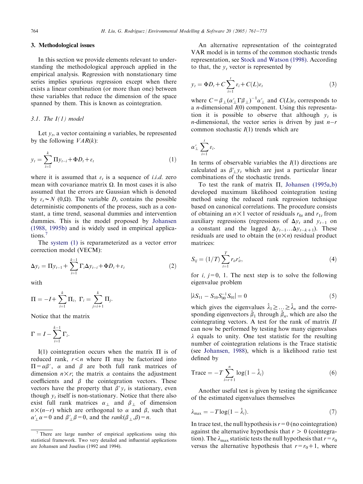### 3. Methodological issues

In this section we provide elements relevant to understanding the methodological approach applied in the empirical analysis. Regression with nonstationary time series implies spurious regression except when there exists a linear combination (or more than one) between these variables that reduce the dimension of the space spanned by them. This is known as cointegration.

#### *3.1. The I(1) model*

Let  $y_t$ , a vector containing *n* variables, be represented by the following *VAR*(*k*):

$$
y_t = \sum_{i=1}^k \Pi y_{t-i} + \Phi D_t + \varepsilon_t \tag{1}
$$

where it is assumed that  $\varepsilon_t$  is a sequence of *i.i.d.* zero mean with covariance matrix  $\Omega$ . In most cases it is also assumed that the errors are Gaussian which is denoted by  $\varepsilon_t \sim N(0,\Omega)$ . The variable  $D_t$  contains the possible deterministic components of the process, such as a constant, a time trend, seasonal dummies and intervention dummies. This is the model proposed by Johansen (1988, 1995b) and is widely used in empirical applications.

The system (1) is reparameterized as a vector error correction model (VECM):

$$
\Delta y_t = \Pi y_{t-1} + \sum_{i=1}^{k-1} \Gamma_i \Delta y_{t-i} + \Phi D_t + \varepsilon_t \tag{2}
$$

with

$$
\Pi = -I + \sum_{i=1}^{k} \Pi_i, \ \Gamma_i = \sum_{j=i+1}^{k} \Pi_j.
$$

Notice that the matrix

$$
\Gamma = I - \sum_{i=1}^{k-1} \Gamma_i.
$$

I(1) cointegration occurs when the matrix  $\Pi$  is of reduced rank,  $r \leq n$  where  $\Pi$  may be factorized into  $\Pi = \alpha \beta'$ ,  $\alpha$  and  $\beta$  are both full rank matrices of dimension  $n \times r$ ; the matrix  $\alpha$  contains the adjustment coefficients and  $\beta$  the cointegration vectors. These vectors have the property that  $\beta' y_t$  is stationary, even though  $y_t$  itself is non-stationary. Notice that there also exist full rank matrices  $\alpha_{\perp}$  and  $\beta_{\perp}$  of dimension  $n \times (n-r)$  which are orthogonal to  $\alpha$  and  $\beta$ , such that  $\alpha'_{\perp} \alpha = 0$  and  $\beta'_{\perp} \beta = 0$ , and the *rank*( $\beta_{\perp}$ , $\beta$ ) = *n*.

An alternative representation of the cointegrated VAR model is in terms of the common stochastic trends representation, see Stock and Watson (1998). According to that, the  $y_t$  vector is represented by

$$
y_t = \Phi D_t + C \sum_{i=1}^t \varepsilon_i + C(L)\varepsilon_t \tag{3}
$$

where  $C = \beta_{\perp} (\alpha'_{\perp} \Gamma \beta_{\perp})^{-1} \alpha'_{\perp}$  and  $C(L)\varepsilon_t$  corresponds to a *n*-dimensional *I*(0) component. Using this representation it is possible to observe that although  $y_t$  is *n*-dimensional, the vector series is driven by just  $n-r$ common stochastic *I*(1) trends which are

$$
\alpha'_\perp \sum_{i=1}^t \varepsilon_i.
$$

In terms of observable variables the *I*(1) directions are calculated as  $\beta'$  *y<sub>t</sub>* which are just a particular linear combinations of the stochastic trends.

To test the rank of matrix  $\Pi$ , Johansen (1995a,b) developed maximum likelihood cointegration testing method using the reduced rank regression technique based on canonical correlations. The procedure consists of obtaining an  $n \times 1$  vector of residuals  $r_{0t}$  and  $r_{1t}$  from auxiliary regressions (regressions of  $\Delta y_t$  and  $y_{t-1}$  on a constant and the lagged  $\Delta y_{t-1} \dots \Delta y_{t-k+1}$ ). These residuals are used to obtain the  $(n \times n)$  residual product matrices:

$$
S_{ij} = (1/T) \sum_{t=1}^{T} r_{it} r'_{it},
$$
\n(4)

for  $i, j=0, 1$ . The next step is to solve the following eigenvalue problem

$$
|\lambda S_{11} - S_{10} S_{00}^{-1} S_{01}| = 0 \tag{5}
$$

which gives the eigenvalues  $\hat{\lambda}_1 \geq \ldots \geq \hat{\lambda}_n$  and the corresponding eigenvectors  $\hat{\beta}_1$  through  $\hat{\beta}_n$ , which are also the cointegrating vectors. A test for the rank of matrix  $\Pi$ can now be performed by testing how many eigenvalues  $\lambda$  equals to unity. One test statistic for the resulting number of cointegration relations is the Trace statistic (see Johansen, 1988), which is a likelihood ratio test defined by

$$
\text{Trace} = -T \sum_{i=r+1}^{n} \log(1 - \hat{\lambda}_i) \tag{6}
$$

Another useful test is given by testing the significance of the estimated eigenvalues themselves

$$
\lambda_{\max} = -T \log(1 - \hat{\lambda}_i). \tag{7}
$$

In trace test, the null hypothesis is  $r = 0$  (no cointegration) against the alternative hypothesis that  $r > 0$  (cointegration). The  $\lambda_{\text{max}}$  statistic tests the null hypothesis that  $r=r_0$ versus the alternative hypothesis that  $r=r_0+1$ , where

 $<sup>7</sup>$  There are large number of empirical applications using this</sup> statistical framework. Two very detailed and influential applications are Johansen and Juselius (1992 and 1994).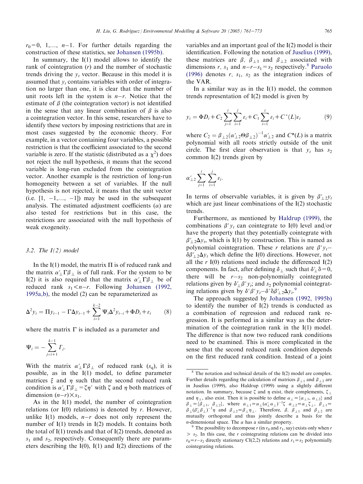$r_0=0, 1,..., n-1$ . For further details regarding the construction of these statistics, see Johansen (1995b).

In summary, the I(1) model allows to identify the rank of cointegration (*r*) and the number of stochastic trends driving the  $y_t$  vector. Because in this model it is assumed that  $y_t$  contains variables with order of integration no larger than one, it is clear that the number of unit roots left in the system is  $n-r$ . Notice that the estimate of  $\beta$  (the cointegration vector) is not identified in the sense that any linear combination of  $\beta$  is also a cointegration vector. In this sense, researchers have to identify these vectors by imposing restrictions that are in most cases suggested by the economic theory. For example, in a vector containing four variables, a possible restriction is that the coefficient associated to the second variable is zero. If the statistic (distributed as a  $\chi^2$ ) does not reject the null hypothesis, it means that the second variable is long-run excluded from the cointegration vector. Another example is the restriction of long-run homogeneity between a set of variables. If the null hypothesis is not rejected, it means that the unit vector (i.e.  $[1, -1,..., -1]$ ) may be used in the subsequent analysis. The estimated adjustment coefficients  $(\alpha)$  are also tested for restrictions but in this case, the restrictions are associated with the null hypothesis of weak exogeneity.

#### *3.2. The I(2) model*

In the I(1) model, the matrix  $\Pi$  is of reduced rank and the matrix  $\alpha'_{\perp} \Gamma \beta_{\perp}$  is of full rank. For the system to be I(2) it is also required that the matrix  $\alpha'$   $\Gamma\beta$  be of reduced rank  $s_1 < n-r$ . Following Johansen (1992, 1995a,b), the model (2) can be reparameterized as

$$
\Delta^2 y_t = \Pi y_{t-1} - \Gamma \Delta y_{t-1} + \sum_{i=1}^{k-2} \Psi_i \Delta^2 y_{t-i} + \Phi D_t + \varepsilon_t \qquad (8)
$$

where the matrix  $\Gamma$  is included as a parameter and

$$
\Psi_i = -\sum_{j=i+1}^{k-1} \Gamma_j.
$$

With the matrix  $\alpha'_{\perp} \Gamma \beta_{\perp}$  of reduced rank  $(s_q)$ , it is possible, as in the I(1) model, to define parameter matrices  $\xi$  and  $\eta$  such that the second reduced rank condition is  $\alpha'_{\perp} \Gamma \beta_{\perp} = \zeta \eta'$  with  $\zeta$  and  $\eta$  both matrices of dimension  $(n-r) \times s_1$ .

As in the I(1) model, the number of cointegration relations (or I(0) relations) is denoted by *r*. However, unlike  $I(1)$  models,  $n-r$  does not only represent the number of I(1) trends in I(2) models. It contains both the total of  $I(1)$  trends and that of  $I(2)$  trends, denoted as *s*<sup>1</sup> and *s*2, respectively. Consequently there are parameters describing the  $I(0)$ ,  $I(1)$  and  $I(2)$  directions of the

variables and an important goal of the I(2) model is their identification. Following the notation of Juselius (1999), these matrices are  $\beta$ ,  $\beta_{\perp 1}$  and  $\beta_{\perp 2}$  associated with dimensions *r*,  $s_1$  and  $n-r-s_1 = s_2$  respectively.<sup>8</sup> Paruolo (1996) denotes  $r$ ,  $s_1$ ,  $s_2$  as the integration indices of the VAR.

In a similar way as in the  $I(1)$  model, the common trends representation of I(2) model is given by

$$
y_t = \Phi D_t + C_2 \sum_{j=1}^t \sum_{i=1}^j \varepsilon_i + C_1 \sum_{i=1}^t \varepsilon_i + C^*(L)\varepsilon_t \tag{9}
$$

where  $C_2 = \beta_{\perp 2} (\alpha'_{\perp 2} \Theta \beta_{\perp 2})^{-1} \alpha'_{\perp 2}$  and  $C^*(L)$  is a matrix polynomial with all roots strictly outside of the unit circle. The first clear observation is that  $y_t$  has  $s_2$ common I(2) trends given by

$$
\alpha'_{\perp 2} \sum_{j=1}^t \sum_{i=1}^j \varepsilon_i.
$$

In terms of observable variables, it is given by  $\beta'_{12}y_t$ which are just linear combinations of the I(2) stochastic trends.

Furthermore, as mentioned by Haldrup (1999), the combinations  $\beta' y_t$  can cointegrate to I(0) level and/or have the property that they potentially cointegrate with  $\beta'_{\perp 2}\Delta y_t$ , which is I(1) by construction. This is named as polynomial cointegration. These *r* relations are  $\beta' y_t$  $\delta \beta'_{1,2} \Delta v_t$  which define the I(0) directions. However, not all the  $r I(0)$  relations need include the differenced  $I(2)$ components. In fact, after defining  $\delta_{\perp}$  such that  $\delta'_{\perp}\delta=0$ , there will be  $r-s_2$  non-polynomially cointegrated relations given by  $\delta'_{\perp} \beta' y_t$ ; and  $s_2$  polynomial cointegrating relations given by  $\delta' \beta' y_t - \delta' \delta \beta'_{\perp 2} \Delta y_t$ <sup>9</sup>

The approach suggested by Johansen (1992, 1995b) to identify the number of I(2) trends is conducted as a combination of regression and reduced rank regression. It is performed in a similar way as the determination of the cointegration rank in the I(1) model. The difference is that now two reduced rank conditions need to be examined. This is more complicated in the sense that the second reduced rank condition depends on the first reduced rank condition. Instead of a joint

 $8$  The notation and technical details of the I(2) model are complex. Further details regarding the calculation of matrices  $\beta_{1,1}$  and  $\beta_{1,2}$  are in Juselius (1999), also Haldrup (1999) using a slightly different notation. In summary, because  $\zeta$  and  $\eta$  exist, their complements,  $\zeta_{\perp}$ and  $\eta_{\perp}$ , also exist. Then it is possible to define  $\alpha_{\perp} = {\alpha_{\perp 1}, \alpha_{\perp 2}}$  and  $\beta_{\perp} = {\overline{\beta}_{\perp 1}, \ \beta_{\perp 2}},$  where  $\alpha_{\perp 1} = \alpha_{\perp} (\alpha_{\perp}' \alpha_{\perp})^{-1} \zeta$   $\alpha_{\perp 2} = \alpha_{\perp} \zeta_{\perp}, \ \beta_{\perp 1} =$  $\beta_\perp (\beta_\perp' \beta_\perp)^{-1} \eta$  and  $\beta_{\perp 2} = \beta_\perp \eta_\perp$ . Therefore,  $\beta$ ,  $\beta_{\perp 1}$  and  $\beta_{\perp 2}$  are mutually orthogonal and thus jointly describe a basis for the *n*-dimensional space. The  $\alpha$  has a similar property.

<sup>&</sup>lt;sup>9</sup> The possibility to decompose  $r$  (in  $r_0$  and  $r_1$ , say) exists only when  $r$  $> s<sub>2</sub>$ . In this case, the *r* cointegrating relations can be divided into  $r_0 = r - s_2$  directly stationary CI(2,2) relations and  $r_1 = s_2$  polynomially cointegrating relations.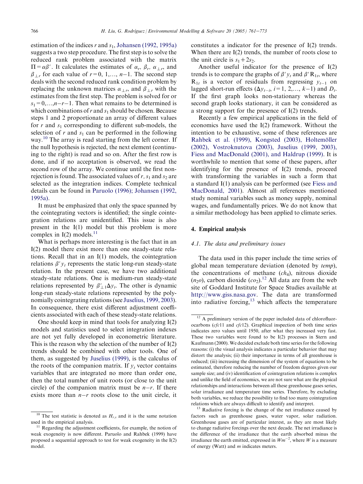estimation of the indices *r* and *s*<sup>1</sup> , Johansen (1992, 1995a) suggests a two step procedure. The first step is to solve the reduced rank problem associated with the matrix  $\Pi = \alpha \beta'$ . It calculates the estimates of  $\alpha_r$ ,  $\beta_r$ ,  $\alpha_{\perp r}$ , and  $\beta_{\perp r}$  for each value of  $r=0, 1,..., n-1$ . The second step deals with the second reduced rank condition problem by replacing the unknown matrices  $\alpha_{\perp r}$ , and  $\beta_{\perp r}$  with the estimates from the first step. The problem is solved for or  $s_1=0,\ldots,n-r-1$ . Then what remains to be determined is which combinations of *r* and  $s_1$  should be chosen. Because steps 1 and 2 proportionate an array of different values for *r* and *s*<sup>1</sup> corresponding to different sub-models, the selection of  $r$  and  $s_1$  can be performed in the following way.<sup>10</sup> The array is read starting from the left corner. If the null hypothesis is rejected, the next element (continuing to the right) is read and so on. After the first row is done, and if no acceptation is observed, we read the second row of the array. We continue until the first nonrejection is found. The associated values of  $r, s_1$  and  $s_2$  are selected as the integration indices. Complete technical details can be found in Paruolo (1996); Johansen (1992, 1995a).

It must be emphasized that only the space spanned by the cointegrating vectors is identified; the single cointegration relations are unidentified. This issue is also present in the I(1) model but this problem is more complex in  $I(2)$  models.<sup>11</sup>

What is perhaps more interesting is the fact that in an I(2) model there exist more than one steady-state relations. Recall that in an I(1) models, the cointegration relations  $\beta' y_t$  represents the static long-run steady-state relation. In the present case, we have two additional steady-state relations. One is medium-run steady-state relations represented by  $\beta'_{\perp} \Delta y_t$ . The other is dynamic long-run steady-state relations represented by the polynomially cointegrating relations (see Juselius, 1999, 2003). In consequence, there exist different adjustment coefficients associated with each of these steady-state relations.

One should keep in mind that tools for analyzing I(2) models and statistics used to select integration indexes are not yet fully developed in econometric literature. This is the reason why the selection of the number of I(2) trends should be combined with other tools. One of them, as suggested by Juselius (1999), is the calculus of the roots of the companion matrix. If  $v_t$  vector contains variables that are integrated no more than order one, then the total number of unit roots (or close to the unit circle) of the companion matrix must be  $n-r$ . If there exists more than  $n-r$  roots close to the unit circle, it

constitutes a indicator for the presence of I(2) trends. When there are I(2) trends, the number of roots close to the unit circle is  $s_1 + 2s_2$ .

Another useful indicator for the presence of I(2) trends is to compare the graphs of  $\beta' y_t$  and  $\beta' \mathbf{R}_{1t}$ , where  $R_{1t}$  is a vector of residuals from regressing  $y_{t-1}$  on lagged short-run effects  $(\Delta y_{t-i}, i=1, 2,..., k-1)$  and  $D_t$ . If the first graph looks non-stationary whereas the second graph looks stationary, it can be considered as a strong support for the presence of I(2) trends.

Recently a few empirical applications in the field of economics have used the I(2) framework. Without the intention to be exhaustive, some of these references are Rahbek et al. (1999), Kongsted (2003), Holtemöller (2002), Vostroknutova (2003), Juselius (1999, 2003), Fiess and MacDonald (2001), and Haldrup (1999). It is worthwhile to mention that some of these papers, after identifying for the presence of I(2) trends, proceed with transforming the variables in such a form that a standard I(1) analysis can be performed (see Fiess and MacDonald, 2001). Almost all references mentioned study nominal variables such as money supply, nominal wages, and fundamentally prices. We do not know that a similar methodology has been applied to climate series.

#### 4. Empirical analysis

#### *4.1. The data and preliminary issues*

The data used in this paper include the time series of global mean temperature deviation (denoted by *temp*), the concentrations of methane (*ch*4), nitrous dioxide  $(n_20)$ , carbon dioxide  $(c_2)$ .<sup>12</sup> All data are from the web site of Goddard Institute for Space Studies available at http://www.giss.nasa.gov. The data are transformed into radiative forcing, $13$  which affects the temperature

 $\overline{10}$  The test statistic is denoted as  $H_{r,s}$  and it is the same notation used in the empirical analysis.

<sup>&</sup>lt;sup>11</sup> Regarding the adjustment coefficients, for example, the notion of weak exogeneity is now different. Paruolo and Rahbek (1999) have proposed a sequential approach to test for weak exogeneity in the I(2) model.

<sup>&</sup>lt;sup>12</sup> A preliminary version of the paper included data of chlorofluorocarbons (*cfc*11 and *cfc*12). Graphical inspection of both time series indicates zero values until 1950, after what they increased very fast. These two variables were found to be I(2) processes in Stern and Kaufmann (2000). We decided exclude both time series for the following reasons: (i) the visual analysis indicates a particular behavior that may distort the analysis; (ii) their importance in terms of all greenhouse is reduced; (iii) increasing the dimension of the system of equations to be estimated, therefore reducing the number of freedom degrees given our sample size; and (iv) identification of cointegration relations is complex and unlike the field of economics, we are not sure what are the physical relationships and interactions between all these greenhouse gases series, solar irradiance and temperature time series. Therefore, by excluding both variables, we reduce the possibility to find too many cointegration relations which are always difficult to identify and interpret.

<sup>&</sup>lt;sup>13</sup> Radiative forcing is the change of the net irradiance caused by factors such as greenhouse gases, water vapor, solar radiation. Greenhouse gases are of particular interest, as they are most likely to change radiative forcings over the next decade. The net irradiance is the difference of the irradiance that the earth absorbed minus the irradiance the earth emitted, expressed in  $Wm^{-2}$ , where W is a measure of energy (Watt) and *m* indicates meters.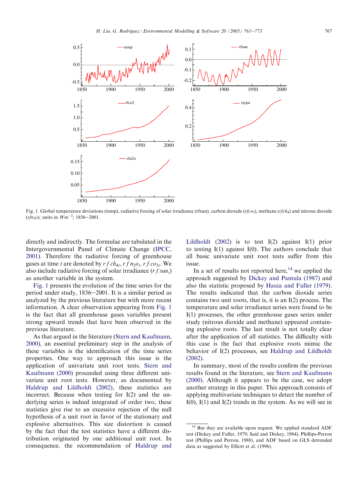

Fig. 1. Global temperature deviations (temp), radiative forcing of solar irradiance (rfsun), carbon dioxide (*rfco*<sup>2</sup> ), methane (*rfch*<sup>4</sup> ) and nitrous dioxide  $(rfn<sub>2</sub>o)$ ; units in  $Wm<sup>-2</sup>$ ; 1856–2001.

directly and indirectly. The formulae are tabulated in the Intergovernmental Panel of Climate Change (IPCC, 2001). Therefore the radiative forcing of greenhouse gases at time *t* are denoted by  $rfch_{4t}$ ,  $rfn_{2}o_{t}$ ,  $rfco_{2t}$ . We also include radiative forcing of solar irradiance (*r f sun<sup>t</sup>* ) as another variable in the system.

Fig. 1 presents the evolution of the time series for the period under study,  $1856-2001$ . It is a similar period as analyzed by the previous literature but with more recent information. A clear observation appearing from Fig. 1 is the fact that all greenhouse gases variables present strong upward trends that have been observed in the previous literature.

As that argued in the literature (Stern and Kaufmann, 2000), an essential preliminary step in the analysis of these variables is the identification of the time series properties. One way to approach this issue is the application of univariate unit root tests. Stern and Kaufmann (2000) proceeded using three different univariate unit root tests. However, as documented by Haldrup and Lildholdt (2002), these statistics are incorrect. Because when testing for I(2) and the underlying series is indeed integrated of order two, these statistics give rise to an excessive rejection of the null hypothesis of a unit root in favor of the stationary and explosive alternatives. This size distortion is caused by the fact that the test statistics have a different distribution originated by one additional unit root. In consequence, the recommendation of Haldrup and Lildholdt (2002) is to test I(2) against I(1) prior to testing  $I(1)$  against  $I(0)$ . The authors conclude that all basic univariate unit root tests suffer from this issue.

In a set of results not reported here,<sup>14</sup> we applied the approach suggested by Dickey and Pantula (1987) and also the statistic proposed by Hasza and Fuller (1979). The results indicated that the carbon dioxide series contains two unit roots, that is, it is an I(2) process. The temperature and solar irradiance series were found to be I(1) processes, the other greenhouse gases series under study (nitrous dioxide and methane) appeared containing explosive roots. The last result is not totally clear after the application of all statistics. The difficulty with this case is the fact that explosive roots mimic the behavior of I(2) processes, see Haldrup and Lildholdt (2002).

In summary, most of the results confirm the previous results found in the literature, see Stern and Kaufmann (2000). Although it appears to be the case, we adopt another strategy in this paper. This approach consists of applying multivariate techniques to detect the number of  $I(0)$ ,  $I(1)$  and  $I(2)$  trends in the system. As we will see in

<sup>&</sup>lt;sup>14</sup> But they are available upon request. We applied standard ADF test (Dickey and Fuller, 1979; Said and Dickey, 1984), Phillips-Perron test (Phillips and Perron, 1988), and ADF based on GLS detrended data as suggested by Elliott et al. (1996).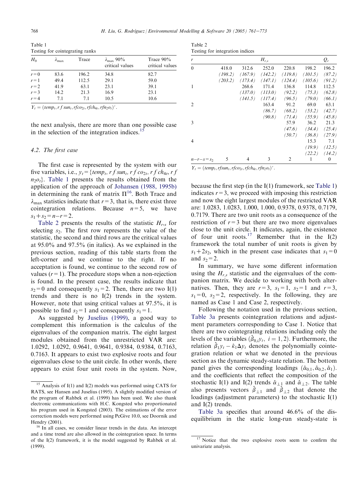Table 1 Testing for cointegrating ranks

| $H_0$   | $\lambda_{\text{max}}$ | Trace | $\lambda_{\text{max}}$ 90%<br>critical values | Trace $90\%$<br>critical values |
|---------|------------------------|-------|-----------------------------------------------|---------------------------------|
| $r = 0$ | 83.6                   | 196.2 | 34.8                                          | 82.7                            |
| $r=1$   | 49.4                   | 112.5 | 29.1                                          | 59.0                            |
| $r = 2$ | 41.9                   | 63.1  | 23.1                                          | 39.1                            |
| $r = 3$ | 14.2                   | 21.3  | 16.9                                          | 23.1                            |
| $r = 4$ | 71                     | 71    | 10.5                                          | 10.6                            |

 $Y_t = (temp_t, rf \, sun_t, rfco_{2t}, rfch_{4t}, rfn_2o_t)'$ .

the next analysis, there are more than one possible case in the selection of the integration indices.<sup>15</sup>

#### *4.2. The first case*

The first case is represented by the system with our five variables, i.e.,  $y_t = \{temp_t, rf \, sun_t, rf \, co_{2t}, rf \, ch_{4t}, rf \}$  $n_2$  $o_t$ }. Table 1 presents the results obtained from the application of the approach of Johansen (1988, 1995b) in determining the rank of matrix  $\Pi^{16}$ . Both Trace and  $\lambda_{\text{max}}$  statistics indicate that  $r=3$ , that is, there exist three cointegration relations. Because  $n=5$ , we have  $s_1 + s_2 = n - r = 2.$ 

Table 2 presents the results of the statistic  $H_{r,s}$  for selecting  $s<sub>2</sub>$ . The first row represents the value of the statistic, the second and third rows are the critical values at 95.0% and 97.5% (in italics). As we explained in the previous section, reading of this table starts from the left-corner and we continue to the right. If no acceptation is found, we continue to the second row of values  $(r=1)$ . The procedure stops when a non-rejection is found. In the present case, the results indicate that  $s_2=0$  and consequently  $s_1=2$ . Then, there are two I(1) trends and there is no I(2) trends in the system. However, note that using critical values at 97.5%, it is possible to find  $s_2=1$  and consequently  $s_1=1$ .

As suggested by Juselius (1999), a good way to complement this information is the calculus of the eigenvalues of the companion matrix. The eight largest modules obtained from the unrestricted VAR are: 1.0292, 1.0292, 0.9641, 0.9641, 0.9384, 0.9384, 0.7163, 0.7163. It appears to exist two explosive roots and four eigenvalues close to the unit circle. In other words, there appears to exist four unit roots in the system. Now,

| Table 2                         |  |
|---------------------------------|--|
| Testing for integration indices |  |

| ັ             |         |         |           |         |         |          |
|---------------|---------|---------|-----------|---------|---------|----------|
| r             |         |         | $H_{r,s}$ |         |         | $Q_r$    |
| $\theta$      | 418.0   | 312.6   | 252.0     | 220.8   | 198.2   | 196.2    |
|               | (198.2) | (167.9) | (142.2)   | (119.8) | (101.5) | (87.2)   |
|               | (203.2) | (173.4) | (147.1)   | (124.4) | (105.6) | (91.2)   |
| 1             |         | 268.6   | 171.4     | 136.8   | 114.8   | 112.5    |
|               |         | (137.0) | (113.0)   | (92.2)  | (75.3)  | (62.8)   |
|               |         | (141.5) | (117.4)   | (96.5)  | (79.0)  | (66.1)   |
| $\mathcal{L}$ |         |         | 163.4     | 91.2    | 69.0    | 63.1     |
|               |         |         | (86.7)    | (68.2)  | (53.2)  | (42.7)   |
|               |         |         | (90.8)    | (71.4)  | (55.9)  | (45.8)   |
| 3             |         |         |           | 57.9    | 36.2    | 21.3     |
|               |         |         |           | (47.6)  | (34.4)  | (25.4)   |
|               |         |         |           | (50.7)  | (36.8)  | (27.9)   |
| 4             |         |         |           |         | 15.3    | 7.1      |
|               |         |         |           |         | (19.9)  | (12.5)   |
|               |         |         |           |         | (22.2)  | (14.2)   |
| $n-r-s = s_2$ | 5       | 4       | 3         | 2       | 1       | $\theta$ |

 $Y_t = (temp_t, rfsun_t, rfco_{2t}, rfch_{4t}, rfn_2o_t)'$ .

because the first step (in the I(1) framework, see Table 1) indicates  $r=3$ , we proceed with imposing this restriction and now the eight largest modules of the restricted VAR are: 1.0283, 1.0283, 1.000, 1.000, 0.9378, 0.9378, 0.7179, 0.7179. There are two unit roots as a consequence of the restriction of  $r=3$  but there are two more eigenvalues close to the unit circle. It indicates, again, the existence of four unit roots.<sup>17</sup> Remember that in the  $I(2)$ framework the total number of unit roots is given by  $s_1+2s_2$ , which in the present case indicates that  $s_1=0$ and  $s_2=2$ .

In summary, we have some different information using the  $H_r$ <sub>s</sub> statistic and the eigenvalues of the companion matrix. We decide to working with both alternatives. Then, they are  $r=3$ ,  $s_1=1$ ,  $s_2=1$  and  $r=3$ ,  $s_1=0$ ,  $s_2=2$ , respectively. In the following, they are named as Case 1 and Case 2, respectively.

Following the notation used in the previous section, Table 3a presents cointegration relations and adjustment parameters corresponding to Case 1. Notice that there are two cointegrating relations including only the levels of the variables  $(\hat{\beta}_{0,i}y_t, i = 1, 2)$ . Furthermore, the relation  $\hat{\beta}_1 y_t - \hat{\kappa}_1 \Delta y_t$  denotes the polynomially cointegration relation or what we denoted in the previous section as the dynamic steady-state relation. The bottom panel gives the corresponding loadings  $(\hat{\alpha}_{0,1}, \hat{\alpha}_{0,2}, \hat{\alpha}_1)$ . and the coefficients that reflect the composition of the stochastic I(1) and I(2) trends  $\hat{\alpha}_{\perp 1}$  and  $\hat{\alpha}_{\perp 2}$ . The table also presents vectors  $\hat{\beta}_{\perp 1}$  and  $\hat{\beta}_{\perp 2}$  that denote the loadings (adjustment parameters) to the stochastic I(1) and I(2) trends.

Table 3a specifies that around 46.6% of the disequilibrium in the static long-run steady-state is

 $15$  Analysis of I(1) and I(2) models was performed using CATS for RATS, see Hansen and Juselius (1995). A slightly modified version of the program of Rahbek et al. (1999) has been used. We also thank electronic communications with H.C. Kongsted who proportionated his program used in Kongsted (2003). The estimations of the error correction models were performed using PcGive 10.0, see Doornik and Hendry (2001).

<sup>&</sup>lt;sup>16</sup> In all cases, we consider linear trends in the data. An intercept and a time trend are also allowed in the cointegration space. In terms of the I(2) framework, it is the model suggested by Rahbek et al. (1999).

<sup>&</sup>lt;sup>17</sup> Notice that the two explosive roots seem to confirm the univariate analysis.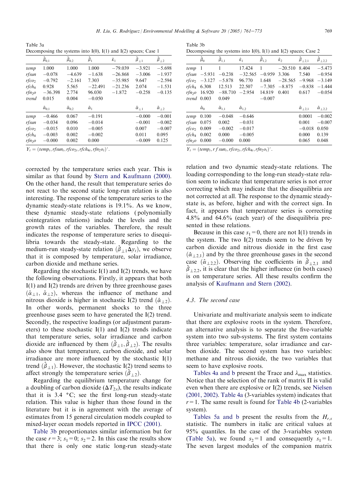*H. Liu, G. Rodríguez / Environmental Modelling & Software 20 (2005) 761–773* 769

Table 3a Decomposing the systems into  $I(0)$ ,  $I(1)$  and  $I(2)$  spaces; Case 1

|                    | $\hat{\pmb \beta}_{0,1}$ | $\hat{\beta}_{0,2}$  | $\hat{\boldsymbol{\beta}}_1$ | $\hat{\kappa}_1$ | $\hat{\boldsymbol{\beta}}_{\perp 1}$ | $\hat{\boldsymbol{\beta}}_{\perp 2}$ |
|--------------------|--------------------------|----------------------|------------------------------|------------------|--------------------------------------|--------------------------------------|
| temp               | 1.000                    | 1.000                | 1.000                        | $-79.039$        | $-3.921$                             | $-5.698$                             |
| rfsun              | $-0.078$                 | $-4.639$             | $-1.638$                     | $-26.868$        | $-3.006$                             | $-1.937$                             |
| $r f c o_2$        | $-0.792$                 | $-2.161$             | 7.303                        | $-35.985$        | 9.647                                | $-2.594$                             |
| $r f c h_4$        | 0.928                    | 5.565                | $-22.491$                    | $-21.236$        | 2.074                                | $-1.531$                             |
| rfn <sub>2</sub> o | $-36.398$                | 2.774                | 96.030                       | $-1.872$         | $-0.258$                             | $-0.135$                             |
| trend              | 0.015                    | 0.004                | $-0.050$                     |                  |                                      |                                      |
|                    | $\hat{\alpha}_{0.1}$     | $\hat{\alpha}_{0,2}$ | $\hat{\alpha}_1$             |                  | $\hat{\alpha}_{\perp 1}$             | $\hat{\alpha}_{\perp 2}$             |
| temp               | $-0.466$                 | 0.067                | $-0.191$                     |                  | $-0.000$                             | $-0.001$                             |
| rfsun              | $-0.034$                 | 0.096                | $-0.014$                     |                  | $-0.001$                             | $-0.002$                             |
| $r f c o_2$        | $-0.015$                 | 0.010                | $-0.005$                     |                  | 0.007                                | $-0.007$                             |
| $r f c h_4$        | $-0.003$                 | 0.002                | $-0.002$                     |                  | 0.011                                | 0.095                                |
| rfn <sub>2</sub> o | $-0.000$                 | 0.002                | 0.000                        |                  | $-0.009$                             | 0.125                                |

 $Y_t = (temp_t, rfsun_t, rfco_{2t}, rfch_{4t}, rfn_2o_t)'$ .

corrected by the temperature series each year. This is similar as that found by Stern and Kaufmann (2000). On the other hand, the result that temperature series do not react to the second static long-run relation is also interesting. The response of the temperature series to the dynamic steady-state relations is 19.1%. As we know, these dynamic steady-state relations ( polynomially cointegration relations) include the levels and the growth rates of the variables. Therefore, the result indicates the response of temperature series to disequilibria towards the steady-state. Regarding to the medium-run steady-state relation  $(\hat{\beta}_{+1}\Delta y_t)$ , we observe that it is composed by temperature, solar irradiance, carbon dioxide and methane series.

Regarding the stochastic  $I(1)$  and  $I(2)$  trends, we have the following observations. Firstly, it appears that both I(1) and I(2) trends are driven by three greenhouse gases  $(\hat{\alpha}_{1,1}, \hat{\alpha}_{1,2})$ , whereas the influence of methane and nitrous dioxide is higher in stochastic I(2) trend  $(\hat{\alpha}_{\perp 2})$ . In other words, permanent shocks to the three greenhouse gases seem to have generated the I(2) trend. Secondly, the respective loadings (or adjustment parameters) to these stochastic  $I(1)$  and  $I(2)$  trends indicate that temperature series, solar irradiance and carbon dioxide are influenced by them  $(\hat{\beta}_{\perp 1}, \hat{\beta}_{\perp 2})$ . The results also show that temperature, carbon dioxide, and solar irradiance are more influenced by the stochastic I(1) trend  $(\hat{\beta}_{\perp 1})$ . However, the stochastic I(2) trend seems to affect strongly the temperature series  $(\hat{\beta}_{\perp 2})$ .

Regarding the equilibrium temperature change for a doubling of carbon dioxide ( $\Delta T_{2x}$ ), the results indicate that it is  $3.4 \text{ °C}$ ; see the first long-run steady-state relation. This value is higher than those found in the literature but it is in agreement with the average of estimates from 15 general circulation models coupled to mixed-layer ocean models reported in IPCC (2001).

Table 3b proportionates similar information but for the case  $r=3$ ;  $s_1=0$ ;  $s_2=2$ . In this case the results show that there is only one static long-run steady-state

Table 3b Decomposing the systems into  $I(0)$ ,  $I(1)$  and  $I(2)$  spaces; Case 2

|                    | $\hat{\beta}_0$  | $\hat{\boldsymbol{\beta}}_{1,1}$ | $\hat{\kappa}_1$     | $\hat{\pmb{\beta}}_{1,2}$ | $\hat{k}_2$ | $\hat{\beta}_{\perp 2,1}$  | $\hat{\beta}_{\perp 2,2}$ |
|--------------------|------------------|----------------------------------|----------------------|---------------------------|-------------|----------------------------|---------------------------|
| temp               | -1               |                                  | 17.424               | 1                         | $-20.510$   | 8.404                      | $-5.473$                  |
| rfsun              | $-5.931$         | $-0.238$                         | $-32.565$            | $-0.959$                  | 3.306       | 7.540                      | $-0.954$                  |
| rfco <sub>2</sub>  | $-3.127$         | $-5.878$                         | 96.770               | 1.648                     | $-28.565$   | $-9.968$                   | $-3.149$                  |
| rfch4              | 6.308            | 12.513                           | 22.507               | $-7.305$                  | $-8.875$    | $-0.838$                   | $-1.444$                  |
| rfn <sub>2</sub> 0 | 16.920           | $-88.710$                        | $-2.954$             | 14.819                    | 0.401       | 0.617                      | $-0.054$                  |
|                    | trend $0.003$    | 0.049                            |                      | $-0.007$                  |             |                            |                           |
|                    | $\hat{\alpha}_0$ | $\hat{\alpha}_{1,1}$             | $\hat{\alpha}_{1,2}$ |                           |             | $\hat{\alpha}_{\perp 2,1}$ | $\hat{\alpha}_{\perp2,2}$ |
| temp               | 0.100            | $-0.048$                         | $-0.646$             |                           |             | 0.0001                     | $-0.002$                  |
| rfsun              | 0.075            | 0.002                            | $-0.031$             |                           |             | 0.001                      | $-0.007$                  |
| rfco <sub>2</sub>  | 0.009            | $-0.002$                         | $-0.017$             |                           |             | $-0.018$                   | 0.050                     |
| rfch <sub>a</sub>  | 0.002            | 0.000                            | $-0.005$             |                           |             | 0.000                      | 0.139                     |
| rfn <sub>2</sub> 0 | 0.000            | $-0.000$                         | 0.000                |                           |             | 0.065                      | 0.048                     |

 $Y_t = (temp_t, rf \, sun_t, rfco_{2t}, rfch_{4t}, rfn_2o_t)'$ .

relation and two dynamic steady-state relations. The loading corresponding to the long-run steady-state relation seem to indicate that temperature series is not error correcting which may indicate that the disequilibria are not corrected at all. The response to the dynamic steadystate is, as before, higher and with the correct sign. In fact, it appears that temperature series is correcting 4.8% and 64.6% (each year) of the disequilibria presented in these relations.

Because in this case  $s_1=0$ , there are not I(1) trends in the system. The two  $I(2)$  trends seem to be driven by carbon dioxide and nitrous dioxide in the first case  $(\hat{\alpha}_{\perp 2,1})$  and by the three greenhouse gases in the second case  $(\hat{\alpha}_{\perp 2,2})$ . Observing the coefficients in  $\hat{\beta}_{\perp 2,1}$  and  $\hat{\beta}_{\perp 2,2}$ , it is clear that the higher influence (in both cases) is on temperature series. All these results confirm the analysis of Kaufmann and Stern (2002).

#### *4.3. The second case*

Univariate and multivariate analysis seem to indicate that there are explosive roots in the system. Therefore, an alternative analysis is to separate the five-variable system into two sub-systems. The first system contains three variables: temperature, solar irradiance and carbon dioxide. The second system has two variables: methane and nitrous dioxide, the two variables that seem to have explosive roots.

Tables 4a and b present the Trace and  $\lambda_{\text{max}}$  statistics. Notice that the selection of the rank of matrix  $\Pi$  is valid even when there are explosive or I(2) trends, see Nielsen (2001, 2002). Table 4a (3-variables system) indicates that  $r=1$ . The same result is found for Table 4b (2-variables system).

Tables 5a and b present the results from the *Hr,s* statistic. The numbers in italic are critical values at 95% quantiles. In the case of the 3-variables system (Table 5a), we found  $s_2=1$  and consequently  $s_1=1$ . The seven largest modules of the companion matrix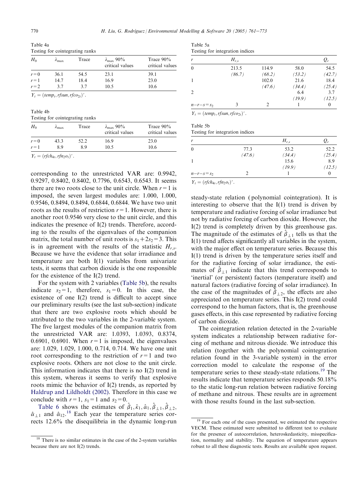Table 4a Testing for cointegrating ranks

| $H_0$   | $\lambda_{\text{max}}$ | Trace | $\lambda_{\text{max}}$ 90%<br>critical values | Trace $90\%$<br>critical values |
|---------|------------------------|-------|-----------------------------------------------|---------------------------------|
| $r=0$   | 36.1                   | 54.5  | 23.1                                          | 39.1                            |
| $r=1$   | 14.7                   | 184   | 16.9                                          | 23.0                            |
| $r = 2$ | 37                     | 37    | 10.5                                          | 10.6                            |
|         |                        |       |                                               |                                 |

 $Y_t = (temp_t, rfsun, rfco_{2t})'.$ 

Table 4b Testing for cointegrating ranks

| $H_0$   | $\lambda_{\text{max}}$ | Trace | $\lambda_{\text{max}}$ 90%<br>critical values | Trace $90\%$<br>critical values |
|---------|------------------------|-------|-----------------------------------------------|---------------------------------|
| $r = 0$ | 43.3                   | 52.2  | 16.9                                          | 23.0                            |
| $r=1$   | 89                     | 89    | 10.5                                          | 10.6                            |

 $Y_t = (r f c h_{4t}, r f n_2 o_t)'$ .

corresponding to the unrestricted VAR are: 0.9942, 0.9297, 0.8402, 0.8402, 0.7796, 0.6543, 0.6543. It seems there are two roots close to the unit circle. When  $r = 1$  is imposed, the seven largest modules are: 1.000, 1.000, 0.9546, 0.8494, 0.8494, 0.6844, 0.6844. We have two unit roots as the results of restriction  $r=1$ . However, there is another root 0.9546 very close to the unit circle, and this indicates the presence of I(2) trends. Therefore, according to the results of the eigenvalues of the companion matrix, the total number of unit roots is  $s_1 + 2s_2 = 3$ . This is in agreement with the results of the statistic  $H_{r,s}$ . Because we have the evidence that solar irradiance and temperature are both I(1) variables from univariate tests, it seems that carbon dioxide is the one responsible for the existence of the I(2) trend.

For the system with 2 variables (Table 5b), the results indicate  $s_2=1$ , therefore,  $s_1=0$ . In this case, the existence of one I(2) trend is difficult to accept since our preliminary results (see the last sub-section) indicate that there are two explosive roots which should be attributed to the two variables in the 2-variable system. The five largest modules of the companion matrix from the unrestricted VAR are: 1.0393, 1.0393, 0.8374, 0.6901, 0.6901. When  $r=1$  is imposed, the eigenvalues are: 1.029, 1.029, 1.000, 0.714, 0.714. We have one unit root corresponding to the restriction of  $r=1$  and two explosive roots. Others are not close to the unit circle. This information indicates that there is no I(2) trend in this system, whereas it seems to verify that explosive roots mimic the behavior of I(2) trends, as reported by Haldrup and Lildholdt (2002). Therefore in this case we conclude with  $r=1$ ,  $s_1=1$  and  $s_2=0$ .

Table 6 shows the estimates of  $\hat{\beta}_1, \hat{\kappa}_1, \hat{\alpha}_1, \hat{\beta}_{\perp 1}, \hat{\beta}_{\perp 2}$ ,  $\hat{\alpha}_{11}$  and  $\hat{\alpha}_{12}$ .<sup>18</sup> Each year the temperature series corrects 12.6% the disequilibria in the dynamic long-run

| Table 5a |                                 |  |
|----------|---------------------------------|--|
|          | Testing for integration indices |  |

| r             | $H_{r,s}$ |                 |                | $Q_r$                      |
|---------------|-----------|-----------------|----------------|----------------------------|
| $\mathbf{0}$  | 213.5     | 114.9           | 58.0           | 54.5                       |
| 1             | (86.7)    | (68.2)<br>102.0 | (53.2)<br>21.6 | (42.7)<br>18.4             |
|               |           | (47.6)          | (34.4)         | (25.4)                     |
| 2             |           |                 | 6.4            | 3.7                        |
| $n-r-s = s_2$ | 3         | $\mathcal{D}$   | (19.9)         | (12.5)<br>$\boldsymbol{0}$ |

 $Y_t = (temp_t, rfsun, rfco_{2t})'.$ 

Table 5b Testing for integration indices

| r             |        | $H_{r,s}$ | $Q_r$    |
|---------------|--------|-----------|----------|
| $\theta$      | 77.3   | 53.2      | 52.2     |
|               | (47.6) | (34.4)    | (25.4)   |
| 1             |        | 15.6      | 8.9      |
|               |        | (19.9)    | (12.5)   |
| $n-r-s = s_2$ |        |           | $\theta$ |

 $Y_t = (rfch_{4t}, rfn_2o_t)'$ .

steady-state relation ( polynomial cointegration). It is interesting to observe that the I(1) trend is driven by temperature and radiative forcing of solar irradiance but not by radiative forcing of carbon dioxide. However, the I(2) trend is completely driven by this greenhouse gas. The magnitude of the estimates of  $\hat{\beta}_{\perp 1}$  tells us that the I(1) trend affects significantly all variables in the system, with the major effect on temperature series. Because this I(1) trend is driven by the temperature series itself and for the radiative forcing of solar irradiance, the estimates of  $\hat{\beta}_{\perp 1}$  indicate that this trend corresponds to 'inertial' (or persistent) factors (temperature itself) and natural factors (radiative forcing of solar irradiance). In the case of the magnitudes of  $\hat{\beta}_{\perp 2}$ , the effects are also appreciated on temperature series. This I(2) trend could correspond to the human factors, that is, the greenhouse gases effects, in this case represented by radiative forcing of carbon dioxide.

The cointegration relation detected in the 2-variable system indicates a relationship between radiative forcing of methane and nitrous dioxide. We introduce this relation (together with the polynomial cointegration relation found in the 3-variable system) in the error correction model to calculate the response of the temperature series to these steady-state relations.<sup>19</sup> The results indicate that temperature series responds 50.18% to the static long-run relation between radiative forcing of methane and nitrous. These results are in agreement with those results found in the last sub-section.

<sup>&</sup>lt;sup>18</sup> There is no similar estimates in the case of the 2-system variables because there are not I(2) trends.

<sup>&</sup>lt;sup>19</sup> For each one of the cases presented, we estimated the respective VECM. These estimated were submitted to different test to evaluate for the presence of autocorrelation, heteroskedasticity, misspecification, normality and stability. The equation of temperature appears robust to all these diagnostic tests. Results are available upon request.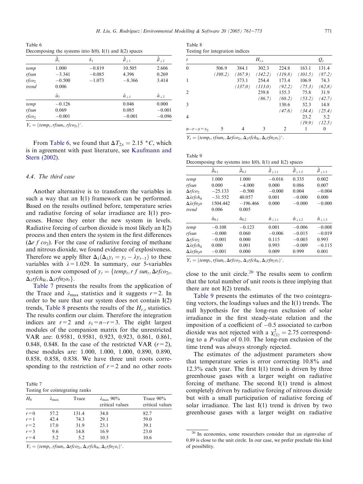Table 6 Decomposing the systems into  $I(0)$ ,  $I(1)$  and  $I(2)$  spaces

|                                       | $\hat{\boldsymbol{\beta}}_1$           | $\hat{\kappa}_1$                 | $\hat{\pmb{\beta}}_{\perp 1}$ | $\hat{\pmb \beta}_{\perp 2}$  |
|---------------------------------------|----------------------------------------|----------------------------------|-------------------------------|-------------------------------|
| temp<br>rfsun<br>$r f c o_2$<br>trend | 1.000<br>$-3.341$<br>$-0.500$<br>0.006 | $-0.819$<br>$-0.085$<br>$-1.073$ | 10.505<br>4.396<br>$-8.366$   | 2.606<br>0.269<br>3.414       |
|                                       | $\hat{\alpha}_1$                       |                                  | $\hat{\alpha}_{+1}$           | $\hat{\alpha}_{12}$           |
| temp<br>rfsun<br>$r f c o_2$          | $-0.126$<br>0.069<br>$-0.001$          |                                  | 0.046<br>0.085<br>$-0.001$    | 0.000<br>$-0.001$<br>$-0.096$ |

 $Y_t = (temp_t, rfsun_t, rfco_{2t})'.$ 

From Table 6, we found that  $\Delta T_{2x} = 2.15 \degree C$ , which is in agreement with past literature, see Kaufmann and Stern (2002).

#### *4.4. The third case*

Another alternative is to transform the variables in such a way that an I(1) framework can be performed. Based on the results outlined before, temperature series and radiative forcing of solar irradiance are I(1) processes. Hence they enter the new system in levels. Radiative forcing of carbon dioxide is most likely an I(2) process and then enters the system in the first differences  $(\Delta r f \cos)$ . For the case of radiative forcing of methane and nitrous dioxide, we found evidence of explosiveness. Therefore we apply filter  $\Delta_{\lambda}(\Delta_{\lambda}y_t = y_t - \lambda y_{t-1})$  to these variables with  $\lambda = 1.029$ . In summary, our 5-variables system is now composed of  $y_t = \{temp_t, rf \, sun_t, \Delta r f co_{2t},\}$  $\Delta_{\lambda}$ rfch<sub>4t</sub>,  $\Delta_{\lambda}$ rfn<sub>2</sub> $o_t$ .

Table 7 presents the results from the application of the Trace and  $\lambda_{\text{max}}$  statistics and it suggests  $r=2$ . In order to be sure that our system does not contain I(2) trends, Table 8 presents the results of the  $H_r$ <sub>s</sub> statistics. The results confirm our claim. Therefore the integration indices are  $r=2$  and  $s_1=n-r=3$ . The eight largest modules of the companion matrix for the unrestricted VAR are: 0.9581, 0.9581, 0.923, 0.923, 0.861, 0.861, 0.848, 0.848. In the case of the restricted VAR  $(r=2)$ , these modules are: 1.000, 1.000, 1.000, 0.890, 0.890, 0.858, 0.858, 0.838. We have three unit roots corresponding to the restriction of  $r=2$  and no other roots

Table 7 Testing for cointegrating ranks

| $H_0$   | $\lambda_{\text{max}}$ | Trace | $\lambda_{\text{max}}$ 90%<br>critical values | Trace $90\%$<br>critical values |
|---------|------------------------|-------|-----------------------------------------------|---------------------------------|
| $r = 0$ | 57.2                   | 131.4 | 34.8                                          | 82.7                            |
| $r=1$   | 42.4                   | 74.3  | 29.1                                          | 59.0                            |
| $r = 2$ | 17.0                   | 31.9  | 23.1                                          | 39.1                            |
| $r = 3$ | 9.6                    | 14.8  | 16.9                                          | 23.0                            |
| $r = 4$ | 5.2                    | 5.2   | 10.5                                          | 10.6                            |

 $Y_t = (temp_t, rfsun_t, \Delta rfco_{2t}, \Delta_\lambda rfch_{4t}, \Delta_\lambda rfn_2o_t)'$ .

Table 8 Testing for integration indices

|                |         |         | $H_{r,s}$ |         |         | $Q_r$    |
|----------------|---------|---------|-----------|---------|---------|----------|
| $\mathbf{0}$   | 506.9   | 384.1   | 302.3     | 224.8   | 163.1   | 131.4    |
|                | (198.2) | (167.9) | (142.2)   | (119.8) | (101.5) | (87.2)   |
| 1              |         | 373.1   | 254.4     | 173.4   | 106.9   | 74.3     |
|                |         | (137.0) | (113.0)   | (92.2)  | (75.3)  | (62.8)   |
| 2              |         |         | 239.8     | 155.3   | 75.8    | 31.9     |
|                |         |         | (86.7)    | (68.2)  | (53.2)  | (42.7)   |
| 3              |         |         |           | 130.6   | 52.3    | 14.8     |
|                |         |         |           | (47.6)  | (34.4)  | (25.4)   |
| $\overline{4}$ |         |         |           |         | 23.2    | 5.2      |
|                |         |         |           |         | (19.9)  | (12.5)   |
| $n-r-s = s_2$  | 5       | 4       | 3         | 2       |         | $\theta$ |

 $Y_t = (temp_t, rfsun_t, \Delta rfco_{2t}, \Delta_\lambda rfch_{4t}, \Delta_\lambda rfn_2o_t)'$ .

| Table 9                                                        |  |  |  |
|----------------------------------------------------------------|--|--|--|
| Decomposing the systems into $I(0)$ , $I(1)$ and $I(2)$ spaces |  |  |  |

|                                     | $\hat{\boldsymbol{\beta}}_{0,1}$ | $\hat{\boldsymbol{\beta}}_{0,2}$ | $\hat{\pmb \beta}_{\perp 1,1}$ | $\hat{\pmb{\beta}}_{\perp1,2}$ | $\hat{\boldsymbol{\beta}}_{\perp1,3}$ |
|-------------------------------------|----------------------------------|----------------------------------|--------------------------------|--------------------------------|---------------------------------------|
| temp                                | 1.000                            | 1.000                            | $-0.016$                       | 0.335                          | 0.002                                 |
| rfsun                               | 0.000                            | $-4.000$                         | 0.000                          | 0.086                          | 0.007                                 |
| $\Delta r$ fco <sub>2</sub>         | $-25.133$                        | $-0.500$                         | $-0.000$                       | 0.004                          | $-0.004$                              |
| $\Delta \lambda$ rfch <sub>4</sub>  | $-31.552$                        | 40.057                           | 0.001                          | $-0.000$                       | 0.000                                 |
| $\Delta \lambda$ rfn <sub>20</sub>  | 1504.442                         | $-196.466$                       | 0.000                          | $-0.000$                       | $-0.000$                              |
| trend                               | 0.006                            | 0.005                            |                                |                                |                                       |
|                                     | $\hat{\alpha}_{0.1}$             | $\hat{\alpha}_{0,2}$             | $\hat{\alpha}_{\perp 1,1}$     | $\hat{\alpha}_{\perp 1,2}$     | $\hat{\alpha}_{\perp 1,3}$            |
| temp                                | $-0.108$                         | $-0.123$                         | 0.001                          | $-0.006$                       | $-0.008$                              |
| rfsun                               | $-0.000$                         | 0.060                            | $-0.006$                       | $-0.015$                       | $-0.019$                              |
| $\Delta r f c o_2$                  | $-0.001$                         | 0.000                            | 0.115                          | $-0.003$                       | 0.993                                 |
| $\Delta \lambda$ rfch <sub>4</sub>  | 0.000                            | 0.001                            | 0.993                          | $-0.009$                       | $-0.115$                              |
| $\Delta \lambda$ rfn <sub>2</sub> 0 | $-0.001$                         | 0.000                            | 0.009                          | 0.999                          | 0.001                                 |
|                                     |                                  |                                  |                                |                                |                                       |

 $Y_t = (temp_t, rfsun_t, \Delta rfco_{2t}, \Delta_\lambda rfch_{4t}, \Delta_\lambda rfn_2o_t)'$ .

close to the unit circle. $20$  The results seem to confirm that the total number of unit roots is three implying that there are not  $I(2)$  trends.

Table 9 presents the estimates of the two cointegrating vectors, the loadings values and the I(1) trends. The null hypothesis for the long-run exclusion of solar irradiance in the first steady-state relation and the imposition of a coefficient of  $-0.5$  associated to carbon dioxide was not rejected with a  $\chi^2_{(1)} = 2.75$  corresponding to a *P*-value of 0.10. The long-run exclusion of the time trend was always strongly rejected.

The estimates of the adjustment parameters show that temperature series is error correcting 10.8% and  $12.3\%$  each year. The first I(1) trend is driven by three greenhouse gases with a larger weight on radiative forcing of methane. The second I(1) trend is almost completely driven by radiative forcing of nitrous dioxide but with a small participation of radiative forcing of solar irradiance. The last  $I(1)$  trend is driven by two greenhouse gases with a larger weight on radiative

<sup>&</sup>lt;sup>20</sup> In economics, some researchers consider that an eigenvalue of 0.89 is close to the unit circle. In our case, we prefer preclude this kind of possibility.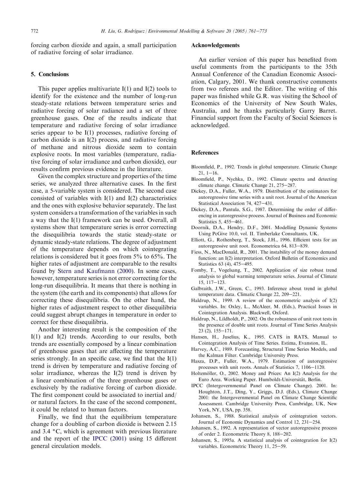forcing carbon dioxide and again, a small participation of radiative forcing of solar irradiance.

#### 5. Conclusions

This paper applies multivariate  $I(1)$  and  $I(2)$  tools to identify for the existence and the number of long-run steady-state relations between temperature series and radiative forcing of solar radiance and a set of three greenhouse gases. One of the results indicate that temperature and radiative forcing of solar irradiance series appear to be I(1) processes, radiative forcing of carbon dioxide is an I(2) process, and radiative forcing of methane and nitrous dioxide seem to contain explosive roots. In most variables (temperature, radiative forcing of solar irradiance and carbon dioxide), our results confirm previous evidence in the literature.

Given the complex structure and properties of the time series, we analyzed three alternative cases. In the first case, a 5-variable system is considered. The second case consisted of variables with I(1) and I(2) characteristics and the ones with explosive behavior separately. The last system considers a transformation of the variables in such a way that the I(1) framework can be used. Overall, all systems show that temperature series is error correcting the disequilibria towards the static steady-state or dynamic steady-state relations. The degree of adjustment of the temperature depends on which cointegrating relations is considered but it goes from 5% to 65%. The higher rates of adjustment are comparable to the results found by Stern and Kaufmann (2000). In some cases, however, temperature series is not error correcting for the long-run disequilibria. It means that there is nothing in the system (the earth and its components) that allows for correcting these disequilibria. On the other hand, the higher rates of adjustment respect to other disequilibria could suggest abrupt changes in temperature in order to correct for these disequilibria.

Another interesting result is the composition of the I(1) and I(2) trends. According to our results, both trends are essentially composed by a linear combination of greenhouse gases that are affecting the temperature series strongly. In an specific case, we find that the  $I(1)$ trend is driven by temperature and radiative forcing of solar irradiance, whereas the I(2) trend is driven by a linear combination of the three greenhouse gases or exclusively by the radiative forcing of carbon dioxide. The first component could be associated to inertial and/ or natural factors. In the case of the second component, it could be related to human factors.

Finally, we find that the equilibrium temperature change for a doubling of carbon dioxide is between 2.15 and  $3.4 \degree C$ , which is agreement with previous literature and the report of the IPCC (2001) using 15 different general circulation models.

### Acknowledgements

An earlier version of this paper has benefited from useful comments from the participants to the 35th Annual Conference of the Canadian Economic Association, Calgary, 2001. We thank constructive comments from two referees and the Editor. The writing of this paper was finished while G.R. was visiting the School of Economics of the University of New South Wales, Australia, and he thanks particularly Garry Barret. Financial support from the Faculty of Social Sciences is acknowledged.

#### **References**

- Bloomfield, P., 1992. Trends in global temperature. Climatic Change  $21, 1 - 16.$
- Bloomfield, P., Nychka, D., 1992. Climate spectra and detecting climate change. Climatic Change 21, 275-287.
- Dickey, D.A., Fuller, W.A., 1979. Distribution of the estimators for autoregressive time series with a unit root. Journal of the American Statistical Association 74, 427-431.
- Dickey, D.A., Pantula, S.G., 1987. Determining the order of differencing in autoregressive process. Journal of Business and Economic Statistics 5, 455-461.
- Doornik, D.A., Hendry, D.F., 2001. Modelling Dynamic Systems Using PcGive 10.0, vol. II. Timberlake Consultants, UK.
- Elliott, G., Rothenberg, T., Stock, J.H., 1996. Efficient tests for an autoregressive unit root. Econometrica 64, 813-839.
- Fiess, N., MacDonald, R., 2001. The instability of the money demand function: an I(2) interpretation. Oxford Bulletin of Economics and Statistics 63 (4), 475-495.
- Fomby, T., Vogelsang, T., 2002. Application of size robust trend analysis to global warming temperature series. Journal of Climate  $15, 117 - 123.$
- Galbraith, J.W., Green, C., 1993. Inference about trend in global temperature data. Climatic Change 22, 209-221.
- Haldrup, N., 1999. A review of the econometric analysis of I(2) variables. In: Oxley, L., McAleer, M. (Eds.), Practical Issues in Cointegration Analysis. Blackwell, Oxford.
- Haldrup, N., Lildholdt, P., 2002. On the robustness of unit root tests in the presence of double unit roots. Journal of Time Series Analysis  $23(2)$ ,  $155-171$ .
- Hansen, H., Juselius, K., 1995. CATS in RATS, Manual to Cointegration Analysis of Time Series. Estima, Evanston, IL.
- Harvey, A.C., 1989. Forecasting, Structural Time Series Models, and the Kalman Filter. Cambridge University Press.
- Hasza, D.P., Fuller, W.A., 1979. Estimation of autoregressive processes with unit roots. Annals of Statistics 7, 1106-1120.
- Holtemöller, O., 2002. Money and Prices: An I(2) Analysis for the Euro Area. Working Paper. Humboldt-Universität, Berlin.
- IPCC (Intergovernmental Panel on Climate Change). 2001. In: Houghton, J.T., Ding, Y., Griggs, D.J. (Eds.), Climate Change 2001: the Intergovernmental Panel on Climate Change Scientific Assessment. Cambridge University Press, Cambridge, UK, New York, NY, USA, pp. 358.
- Johansen, S., 1988. Statistical analysis of cointegration vectors. Journal of Economic Dynamics and Control 12, 231-254.
- Johansen, S., 1992. A representation of vector autoregressive process of order 2. Econometric Theory 8, 188-202.
- Johansen, S., 1995a. A statistical analysis of cointegration for I(2) variables. Econometric Theory 11, 25-59.